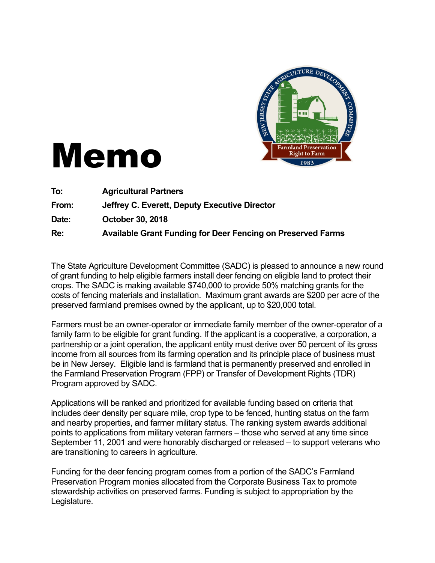

## Memo

| To:   | <b>Agricultural Partners</b>                                       |
|-------|--------------------------------------------------------------------|
| From: | Jeffrey C. Everett, Deputy Executive Director                      |
| Date: | <b>October 30, 2018</b>                                            |
| Re:   | <b>Available Grant Funding for Deer Fencing on Preserved Farms</b> |

The State Agriculture Development Committee (SADC) is pleased to announce a new round of grant funding to help eligible farmers install deer fencing on eligible land to protect their crops. The SADC is making available \$740,000 to provide 50% matching grants for the costs of fencing materials and installation. Maximum grant awards are \$200 per acre of the preserved farmland premises owned by the applicant, up to \$20,000 total.

Farmers must be an owner-operator or immediate family member of the owner-operator of a family farm to be eligible for grant funding. If the applicant is a cooperative, a corporation, a partnership or a joint operation, the applicant entity must derive over 50 percent of its gross income from all sources from its farming operation and its principle place of business must be in New Jersey. Eligible land is farmland that is permanently preserved and enrolled in the Farmland Preservation Program (FPP) or Transfer of Development Rights (TDR) Program approved by SADC.

Applications will be ranked and prioritized for available funding based on criteria that includes deer density per square mile, crop type to be fenced, hunting status on the farm and nearby properties, and farmer military status. The ranking system awards additional points to applications from military veteran farmers – those who served at any time since September 11, 2001 and were honorably discharged or released – to support veterans who are transitioning to careers in agriculture.

Funding for the deer fencing program comes from a portion of the SADC's Farmland Preservation Program monies allocated from the Corporate Business Tax to promote stewardship activities on preserved farms. Funding is subject to appropriation by the Legislature.